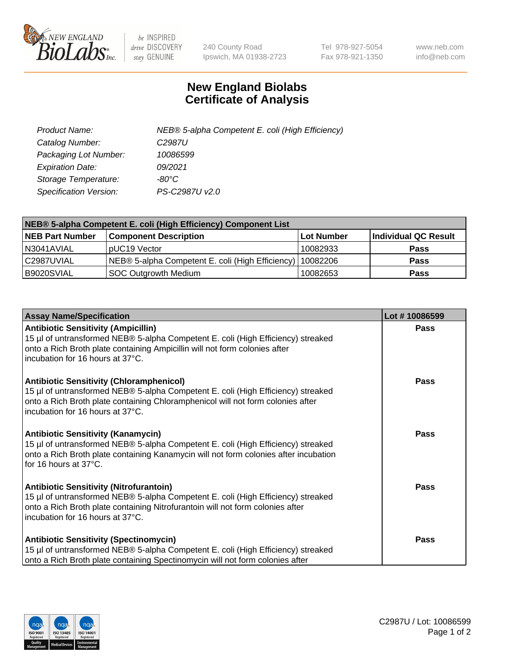

 $be$  INSPIRED drive DISCOVERY stay GENUINE

240 County Road Ipswich, MA 01938-2723 Tel 978-927-5054 Fax 978-921-1350 www.neb.com info@neb.com

## **New England Biolabs Certificate of Analysis**

| Product Name:           | NEB® 5-alpha Competent E. coli (High Efficiency) |
|-------------------------|--------------------------------------------------|
| Catalog Number:         | C <sub>2987</sub> U                              |
| Packaging Lot Number:   | 10086599                                         |
| <b>Expiration Date:</b> | 09/2021                                          |
| Storage Temperature:    | -80°C                                            |
| Specification Version:  | PS-C2987U v2.0                                   |

| NEB® 5-alpha Competent E. coli (High Efficiency) Component List |                                                  |            |                      |  |
|-----------------------------------------------------------------|--------------------------------------------------|------------|----------------------|--|
| <b>NEB Part Number</b>                                          | <b>Component Description</b>                     | Lot Number | Individual QC Result |  |
| N3041AVIAL                                                      | pUC19 Vector                                     | 10082933   | <b>Pass</b>          |  |
| C2987UVIAL                                                      | NEB® 5-alpha Competent E. coli (High Efficiency) | 10082206   | <b>Pass</b>          |  |
| B9020SVIAL                                                      | SOC Outgrowth Medium                             | 10082653   | <b>Pass</b>          |  |

| <b>Assay Name/Specification</b>                                                                                                                                                                                                                            | Lot #10086599 |
|------------------------------------------------------------------------------------------------------------------------------------------------------------------------------------------------------------------------------------------------------------|---------------|
| <b>Antibiotic Sensitivity (Ampicillin)</b><br>15 µl of untransformed NEB® 5-alpha Competent E. coli (High Efficiency) streaked<br>onto a Rich Broth plate containing Ampicillin will not form colonies after<br>incubation for 16 hours at 37°C.           | Pass          |
| <b>Antibiotic Sensitivity (Chloramphenicol)</b><br>15 µl of untransformed NEB® 5-alpha Competent E. coli (High Efficiency) streaked<br>onto a Rich Broth plate containing Chloramphenicol will not form colonies after<br>incubation for 16 hours at 37°C. | Pass          |
| <b>Antibiotic Sensitivity (Kanamycin)</b><br>15 µl of untransformed NEB® 5-alpha Competent E. coli (High Efficiency) streaked<br>onto a Rich Broth plate containing Kanamycin will not form colonies after incubation<br>for 16 hours at 37°C.             | Pass          |
| <b>Antibiotic Sensitivity (Nitrofurantoin)</b><br>15 µl of untransformed NEB® 5-alpha Competent E. coli (High Efficiency) streaked<br>onto a Rich Broth plate containing Nitrofurantoin will not form colonies after<br>incubation for 16 hours at 37°C.   | <b>Pass</b>   |
| <b>Antibiotic Sensitivity (Spectinomycin)</b><br>15 µl of untransformed NEB® 5-alpha Competent E. coli (High Efficiency) streaked<br>onto a Rich Broth plate containing Spectinomycin will not form colonies after                                         | Pass          |